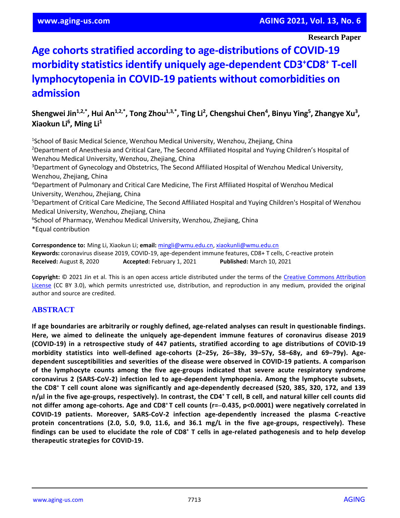# **Age cohorts stratified according to age-distributions of COVID-19 morbidity statistics identify uniquely age-dependent CD3<sup>+</sup>CD8<sup>+</sup> T-cell lymphocytopenia in COVID-19 patients without comorbidities on admission**

**Shengwei Jin1,2,\*, Hui An1,2,\*, Tong Zhou1,3,\*, Ting Li<sup>2</sup> , Chengshui Chen<sup>4</sup> , Binyu Ying<sup>5</sup> , Zhangye Xu<sup>3</sup> , Xiaokun Li<sup>6</sup> , Ming Li<sup>1</sup>**

<sup>1</sup>School of Basic Medical Science, Wenzhou Medical University, Wenzhou, Zhejiang, China <sup>2</sup>Department of Anesthesia and Critical Care, The Second Affiliated Hospital and Yuying Children's Hospital of Wenzhou Medical University, Wenzhou, Zhejiang, China <sup>3</sup>Department of Gynecology and Obstetrics, The Second Affiliated Hospital of Wenzhou Medical University, Wenzhou, Zhejiang, China <sup>4</sup>Department of Pulmonary and Critical Care Medicine, The First Affiliated Hospital of Wenzhou Medical University, Wenzhou, Zhejiang, China <sup>5</sup>Department of Critical Care Medicine, The Second Affiliated Hospital and Yuying Children's Hospital of Wenzhou Medical University, Wenzhou, Zhejiang, China 6 School of Pharmacy, Wenzhou Medical University, Wenzhou, Zhejiang, China \*Equal contribution

**Correspondence to:** Ming Li, Xiaokun Li; **email:** [mingli@wmu.edu.cn,](mailto:mingli@wmu.edu.cn) [xiaokunli@wmu.edu.cn](mailto:xiaokunli@wmu.edu.cn) **Keywords:** coronavirus disease 2019, COVID-19, age-dependent immune features, CD8+ T cells, C-reactive protein **Received:** August 8, 2020 **Accepted:** February 1, 2021 **Published:** March 10, 2021

**Copyright:** © 2021 Jin et al. This is an open access article distributed under the terms of the [Creative Commons Attribution](https://creativecommons.org/licenses/by/3.0/)  [License](https://creativecommons.org/licenses/by/3.0/) (CC BY 3.0), which permits unrestricted use, distribution, and reproduction in any medium, provided the original author and source are credited.

# **ABSTRACT**

**If age boundaries are arbitrarily or roughly defined, age-related analyses can result in questionable findings. Here, we aimed to delineate the uniquely age-dependent immune features of coronavirus disease 2019 (COVID-19) in a retrospective study of 447 patients, stratified according to age distributions of COVID-19** morbidity statistics into well-defined age-cohorts (2-25y, 26-38y, 39-57y, 58-68y, and 69-79y). Age**dependent susceptibilities and severities of the disease were observed in COVID-19 patients. A comparison of the lymphocyte counts among the five age-groups indicated that severe acute respiratory syndrome coronavirus 2 (SARS-CoV-2) infection led to age-dependent lymphopenia. Among the lymphocyte subsets,** the CD8<sup>+</sup> T cell count alone was significantly and age-dependently decreased (520, 385, 320, 172, and 139  $n/\mu$  in the five age-groups, respectively). In contrast, the CD4<sup>+</sup> T cell, B cell, and natural killer cell counts did not differ among age-cohorts. Age and CD8<sup>+</sup>T cell counts (r=-0.435, p<0.0001) were negatively correlated in **COVID-19 patients. Moreover, SARS-CoV-2 infection age-dependently increased the plasma C-reactive protein concentrations (2.0, 5.0, 9.0, 11.6, and 36.1 mg/L in the five age-groups, respectively). These** findings can be used to elucidate the role of CD8<sup>+</sup> T cells in age-related pathogenesis and to help develop **therapeutic strategies for COVID-19.**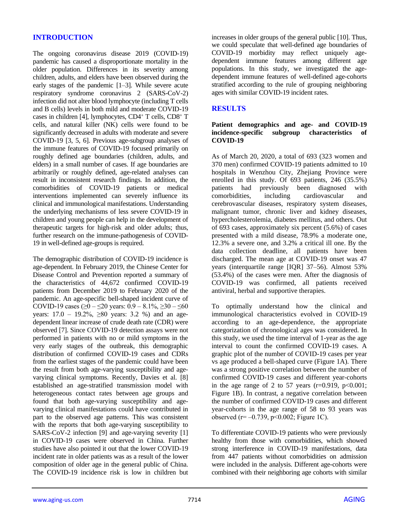# **INTRODUCTION**

The ongoing coronavirus disease 2019 (COVID-19) pandemic has caused a disproportionate mortality in the older population. Differences in its severity among children, adults, and elders have been observed during the early stages of the pandemic [1–3]. While severe acute respiratory syndrome coronavirus 2 (SARS-CoV-2) infection did not alter blood lymphocyte (including T cells and B cells) levels in both mild and moderate COVID-19 cases in children [4], lymphocytes, CD4<sup>+</sup> T cells, CD8<sup>+</sup> T cells, and natural killer (NK) cells were found to be significantly decreased in adults with moderate and severe COVID-19 [3, 5, 6]. Previous age-subgroup analyses of the immune features of COVID-19 focused primarily on roughly defined age boundaries (children, adults, and elders) in a small number of cases. If age boundaries are arbitrarily or roughly defined, age-related analyses can result in inconsistent research findings. In addition, the comorbidities of COVID-19 patients or medical interventions implemented can severely influence its clinical and immunological manifestations. Understanding the underlying mechanisms of less severe COVID-19 in children and young people can help in the development of therapeutic targets for high-risk and older adults; thus, further research on the immune-pathogenesis of COVID-19 in well-defined age-groups is required.

The demographic distribution of COVID-19 incidence is age-dependent. In February 2019, the Chinese Center for Disease Control and Prevention reported a summary of the characteristics of 44,672 confirmed COVID-19 patients from December 2019 to February 2020 of the pandemic. An age-specific bell-shaped incident curve of COVID-19 cases ( $\geq 0 - \leq 20$  years:  $0.9 - 8.1\%$ ,  $\geq 30 - \leq 60$ years:  $17.0 - 19.2\%$ ,  $\geq 80$  years: 3.2 %) and an agedependent linear increase of crude death rate (CDR) were observed [7]. Since COVID-19 detection assays were not performed in patients with no or mild symptoms in the very early stages of the outbreak, this demographic distribution of confirmed COVID-19 cases and CDRs from the earliest stages of the pandemic could have been the result from both age-varying susceptibility and agevarying clinical symptoms. Recently, Davies et al. [8] established an age-stratified transmission model with heterogeneous contact rates between age groups and found that both age-varying susceptibility and agevarying clinical manifestations could have contributed in part to the observed age patterns. This was consistent with the reports that both age-varying susceptibility to SARS-CoV-2 infection [9] and age-varying severity [1] in COVID-19 cases were observed in China. Further studies have also pointed it out that the lower COVID-19 incident rate in older patients was as a result of the lower composition of older age in the general public of China. The COVID-19 incidence risk is low in children but increases in older groups of the general public [10]. Thus, we could speculate that well-defined age boundaries of COVID-19 morbidity may reflect uniquely agedependent immune features among different age populations. In this study, we investigated the agedependent immune features of well-defined age-cohorts stratified according to the rule of grouping neighboring ages with similar COVID-19 incident rates.

#### **RESULTS**

#### **Patient demographics and age- and COVID-19 incidence-specific subgroup characteristics of COVID-19**

As of March 20, 2020, a total of 693 (323 women and 370 men) confirmed COVID-19 patients admitted to 10 hospitals in Wenzhou City, Zhejiang Province were enrolled in this study. Of 693 patients, 246 (35.5%) patients had previously been diagnosed with comorbidities, including cardiovascular and cerebrovascular diseases, respiratory system diseases, malignant tumor, chronic liver and kidney diseases, hypercholesterolemia, diabetes mellitus, and others. Out of 693 cases, approximately six percent (5.6%) of cases presented with a mild disease, 78.9% a moderate one, 12.3% a severe one, and 3.2% a critical ill one. By the data collection deadline, all patients have been discharged. The mean age at COVID-19 onset was 47 years (interquartile range [IQR] 37–56). Almost 53% (53.4%) of the cases were men. After the diagnosis of COVID-19 was confirmed, all patients received antiviral, herbal and supportive therapies.

To optimally understand how the clinical and immunological characteristics evolved in COVID-19 according to an age-dependence, the appropriate categorization of chronological ages was considered. In this study, we used the time interval of 1-year as the age interval to count the confirmed COVID-19 cases. A graphic plot of the number of COVID-19 cases per year vs age produced a bell-shaped curve (Figure 1A). There was a strong positive correlation between the number of confirmed COVID-19 cases and different year-cohorts in the age range of 2 to 57 years  $(r=0.919, p<0.001;$ Figure 1B). In contrast, a negative correlation between the number of confirmed COVID-19 cases and different year-cohorts in the age range of 58 to 93 years was observed ( $r = -0.739$ ,  $p < 0.002$ ; Figure 1C).

To differentiate COVID-19 patients who were previously healthy from those with comorbidities, which showed strong interference in COVID-19 manifestations, data from 447 patients without comorbidities on admission were included in the analysis. Different age-cohorts were combined with their neighboring age cohorts with similar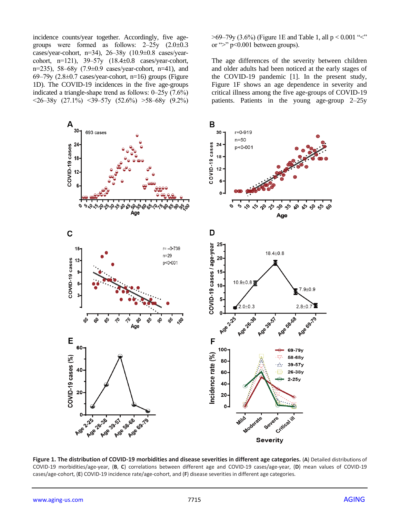incidence counts/year together. Accordingly, five agegroups were formed as follows:  $2-25y$   $(2.0\pm0.3)$ cases/year-cohort, n=34), 26‒38y (10.9±0.8 cases/yearcohort, n=121), 39‒57y (18.4±0.8 cases/year-cohort, n=235), 58‒68y (7.9±0.9 cases/year-cohort, n=41), and 69–79y (2.8 $\pm$ 0.7 cases/year-cohort, n=16) groups (Figure 1D). The COVID-19 incidences in the five age-groups indicated a triangle-shape trend as follows: 0‒25y (7.6%)  $\langle 26 - 38y (27.1\%) \langle 39 - 57y (52.6\%) \rangle$   $\langle 58 - 68y (9.2\%)$   $>69-79y$  (3.6%) (Figure 1E and Table 1, all p < 0.001 "<" or ">" p<0.001 between groups).

The age differences of the severity between children and older adults had been noticed at the early stages of the COVID-19 pandemic [1]. In the present study, Figure 1F shows an age dependence in severity and critical illness among the five age-groups of COVID-19 patients. Patients in the young age-group 2–25y



**Figure 1. The distribution of COVID-19 morbidities and disease severities in different age categories.** (**A**) Detailed distributions of COVID-19 morbidities/age-year, (**B**, **C**) correlations between different age and COVID-19 cases/age-year, (**D**) mean values of COVID-19 cases/age-cohort, (**E**) COVID-19 incidence rate/age-cohort, and (**F**) disease severities in different age categories.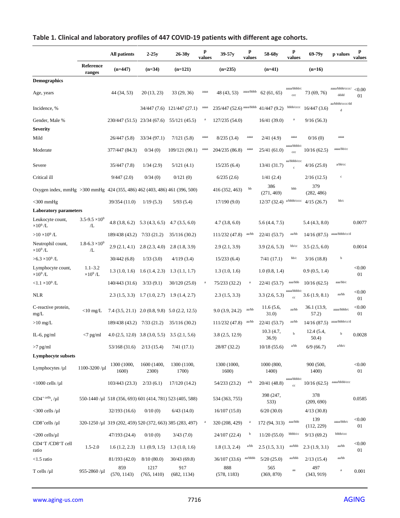|  |  | Table 1. Clinical and laboratory profiles of 447 COVID-19 patients with different age cohorts. |
|--|--|------------------------------------------------------------------------------------------------|
|--|--|------------------------------------------------------------------------------------------------|

|                                                                            |                                 | <b>All patients</b>                                       | $2-25y$              | $26-38y$                    | p<br>values  | $39-57y$                 | p<br>values | 58-68y              | p<br>values                 | $69 - 79y$           | p values                       | p<br>values  |
|----------------------------------------------------------------------------|---------------------------------|-----------------------------------------------------------|----------------------|-----------------------------|--------------|--------------------------|-------------|---------------------|-----------------------------|----------------------|--------------------------------|--------------|
|                                                                            | Reference<br>ranges             | $(n=447)$                                                 | $(n=34)$             | $(n=121)$                   |              | $(n=235)$                |             | $(n=41)$            |                             | $(n=16)$             |                                |              |
| <b>Demographics</b>                                                        |                                 |                                                           |                      |                             |              |                          |             |                     |                             |                      |                                |              |
| Age, years                                                                 |                                 | 44 (34, 53)                                               | 20(13, 23)           | 33(29, 36)                  | aaaa         | 48 (43, 53)              | aaaa/bbbb   | 62(61, 65)          | aaaa/bbbb/c<br>ccc          | 73 (69, 76)          | aaaa/bbbb/cccc/<br>dddd        | < 0.00<br>01 |
| Incidence, %                                                               |                                 |                                                           |                      | 34/447 (7.6) 121/447 (27.1) | aaaa         | 235/447 (52.6) aaaa/bbbb |             | 41/447(9.2)         | bbbb/cccc                   | 16/447(3.6)          | aa/bbbb/cccc/dd<br>$\mathbf d$ |              |
| Gender, Male %<br><b>Severity</b>                                          |                                 | 230/447 (51.5) 23/34 (67.6)                               |                      | 55/121 (45.5)               | $\mathbf{a}$ | 127/235 (54.0)           |             | 16/41(39.0)         | $\mathbf{a}$                | 9/16(56.3)           |                                |              |
| Mild                                                                       |                                 | 26/447 (5.8)                                              | 33/34 (97.1)         | 7/121(5.8)                  | aaaa         | 8/235(3.4)               | aaaa        | 2/41(4.9)           | aaaa                        | 0/16(0)              | aaaa                           |              |
| Moderate                                                                   |                                 |                                                           | 0/34(0)              |                             | aaaa         |                          | aaaa        |                     | aaaa/bbbb/c                 |                      | aaaa/bb/cc                     |              |
|                                                                            |                                 | 377/447 (84.3)                                            |                      | 109/121 (90.1)              |              | 204/235 (86.8)           |             | 25/41(61.0)         | $_{\rm ccc}$                | 10/16(62.5)          |                                |              |
| Severe                                                                     |                                 | 35/447 (7.8)                                              | 1/34(2.9)            | 5/121(4.1)                  |              | 15/235(6.4)              |             | 13/41 (31.7)        | aa/bbbb/ccc<br>$\mathbf{c}$ | 4/16(25.0)           | a/bb/cc                        |              |
| Critical ill                                                               |                                 | 9/447(2.0)                                                | 0/34(0)              | 0/121(0)                    |              | 6/235(2.6)               |             | 1/41(2.4)           |                             | 2/16(12.5)           | $\mathbf c$                    |              |
| Oxygen index, mmHg > 300 mmHg 424 (355, 486) 462 (403, 486) 461 (396, 500) |                                 |                                                           |                      |                             |              | 416 (352, 463)           | bb          | 386<br>(271, 469)   | bbb                         | 379<br>(282, 486)    |                                |              |
| $<$ 300 mmHg                                                               |                                 | 39/354 (11.0)                                             | 1/19(5.3)            | 5/93(5.4)                   |              | 17/190(9.0)              |             | 12/37(32.4)         | a/bbbb/cccc                 | 4/15(26.7)           | bb/c                           |              |
| <b>Laboratory parameters</b>                                               |                                 |                                                           |                      |                             |              |                          |             |                     |                             |                      |                                |              |
| Leukocyte count,<br>$\times 10^9$ /L                                       | $3.5 - 9.5 \times 10^9$<br>/L   | 4.8(3.8, 6.2)                                             | 5.3(4.3, 6.5)        | 4.7(3.5, 6.0)               |              | 4.7(3.8, 6.0)            |             | 5.6(4.4, 7.5)       |                             | 5.4(4.3, 8.0)        |                                | 0.0077       |
| $>10\times10^9$ /L                                                         |                                 | 189/438 (43.2)                                            | 7/33(21.2)           | 35/116 (30.2)               |              | 111/232 (47.8)           | aa/bb       | 22/41 (53.7)        | aa/bb                       | 14/16(87.5)          | aaaa/bbbb/cc/d                 |              |
| Neutrophil count,<br>$\times 10^9$ /L                                      | $1.8 - 6.3 \times 10^9$<br>/L   | $2.9(2.1, 4.1)$ $2.8(2.3, 4.0)$                           |                      | 2.8(1.8, 3.9)               |              | 2.9(2.1, 3.9)            |             | 3.9(2.6, 5.3)       | bb/cc                       | 3.5(2.5, 6.0)        |                                | 0.0014       |
| $>6.3\times10^{9}$ /L                                                      |                                 | 30/442(6.8)                                               | 1/33(3.0)            | 4/119(3.4)                  |              | 15/233(6.4)              |             | 7/41(17.1)          | bb/c                        | 3/16(18.8)           | b                              |              |
| Lymphocyte count,<br>$\times 10^9$ /L                                      | $1.1 - 3.2$<br>$\times 10^9$ /L | $1.3(1.0, 1.6)$ $1.6(1.4, 2.3)$                           |                      | 1.3(1.1, 1.7)               |              | 1.3(1.0, 1.6)            |             | 1.0(0.8, 1.4)       |                             | 0.9(0.5, 1.4)        |                                | < 0.00<br>01 |
| $<$ 1.1 $\times$ 10 <sup>9</sup> /L                                        |                                 | 140/443 (31.6)                                            | 3/33(9.1)            | 30/120(25.0)                | $\rm{a}$     | 75/233 (32.2)            | $\rm{a}$    | 22/41 (53.7)        | aaa/bbb                     | 10/16(62.5)          | aaa/bb/c                       |              |
| <b>NLR</b>                                                                 |                                 | $2.3(1.5, 3.3)$ 1.7 $(1.0, 2.7)$                          |                      | 1.9(1.4, 2.7)               |              | 2.3(1.5, 3.3)            |             | 3.3(2.6, 5.3)       | aaaa/bbbb/c<br>$_{\rm cc}$  | 3.6(1.9, 8.1)        | aa/bb                          | < 0.00<br>01 |
| C-reactive protein,<br>mg/L                                                | $<$ 10 mg/L                     | $7.4$ (3.5, 21.1) 2.0 (0.8, 9.8) 5.0 (2.2, 12.5)          |                      |                             |              | 9.0(3.9, 24.2)           | aa/bb       | 11.6(5.6,<br>31.0)  | aa/bb                       | 36.1 (13.9,<br>57.2) | aaaa/bbbb/c                    | < 0.00<br>01 |
| $>10$ mg/L                                                                 |                                 | 189/438 (43.2) 7/33 (21.2)                                |                      | 35/116(30.2)                |              | 111/232 (47.8)           | aa/bb       | 22/41 (53.7)        | aa/bb                       | 14/16(87.5)          | aaaa/bbbb/cc/d                 |              |
| IL-6, pg/ml                                                                | $<7$ pg/ml                      | 4.0 $(2.5, 12.0)$ 3.8 $(3.0, 5.5)$ 3.5 $(2.1, 5.6)$       |                      |                             |              | 3.8(2.5, 12.9)           |             | 10.3(4.7,<br>36.9)  | $\mathbf b$                 | 12.4(5.4,<br>50.4)   | $\mathbf b$                    | 0.0028       |
| $>7$ pg/ml                                                                 |                                 | 53/168 (31.6)                                             | 2/13(15.4)           | 7/41(17.1)                  |              | 28/87 (32.2)             |             | 10/18(55.6)         | a/bb                        | 6/9(66.7)            | a/bb/c                         |              |
| Lymphocyte subsets                                                         |                                 |                                                           |                      |                             |              |                          |             |                     |                             |                      |                                |              |
| Lymphocytes $/µ1$                                                          | 1100-3200/ul                    | 1300 (1000,<br>1600)                                      | 1600 (1400,<br>2300) | 1300 (1100,<br>1700)        |              | 1300 (1000,<br>1600)     |             | 1000 (800,<br>1400) |                             | 900 (500,<br>1400)   |                                | < 0.00<br>01 |
| $<$ 1000 cells / $\mu$ l                                                   |                                 | 103/443 (23.3)                                            | 2/33(6.1)            | 17/120 (14.2)               |              | 54/233 (23.2)            | a/b         | 20/41 (48.8)        | aaaa/bbbb/c<br>$_{cc}$      | 10/16(62.5)          | aaaa/bbbb/ccc                  |              |
| $CD4+$ cells, / $\mu$ l                                                    |                                 | 550-1440 /µ1 518 (356, 693) 601 (414, 781) 523 (405, 588) |                      |                             |              | 534 (363, 755)           |             | 398 (247,<br>533)   |                             | 378<br>(209, 690)    |                                | 0.0585       |
| $<$ 300 cells /µl                                                          |                                 | 32/193 (16.6)                                             | 0/10(0)              | 6/43(14.0)                  |              | 16/107(15.0)             |             | 6/20(30.0)          |                             | 4/13(30.8)           |                                |              |
| $CD8^+$ cells /µl                                                          |                                 | 320-1250 /µ1 319 (202, 459) 520 (372, 663) 385 (283, 497) |                      |                             |              | 320 (208, 429)           | a           | 172 (94, 313)       | aaa/bbb                     | 139<br>(112, 229)    | aaaa/bbb/c                     | < 0.00<br>01 |
| $<$ 200 cells/ $\mu$ l                                                     |                                 | 47/193 (24.4)                                             | 0/10(0)              | 3/43(7.0)                   |              | 24/107 (22.4)            | $\mathbf b$ | 11/20(55.0)         | bbbb/cc                     | 9/13(69.2)           | bbbb/ccc                       |              |
| CD4+T /CD8+T cell<br>ratio                                                 | $1.5 - 2.0$                     | $1.6(1.2, 2.3)$ $1.1(0.9, 1.5)$                           |                      | 1.3(1.0, 1.6)               |              | 1.8(1.3, 2.4)            | a/bb        | 2.5(1.5, 3.1)       | aa/bbb                      | 2.3(1.9, 3.1)        | aa/bb                          | < 0.00<br>01 |
| $<1.5$ ratio                                                               |                                 | 81/193 (42.0)                                             | 8/10(80.0)           | 30/43(69.8)                 |              | 36/107 (33.6)            | aa/bbbb     | 5/20(25.0)          | aa/bbb                      | 2/13(15.4)           | aa/bb                          |              |
| T cells $/\mu$ l                                                           | 955-2860/µ1                     | 859<br>(570, 1143)                                        | 1217<br>(765, 1410)  | 917<br>(682, 1134)          |              | 888<br>(578, 1183)       |             | 565<br>(369, 870)   | $_{\rm aa}$                 | 497<br>(343, 919)    | $\rm{a}$                       | 0.001        |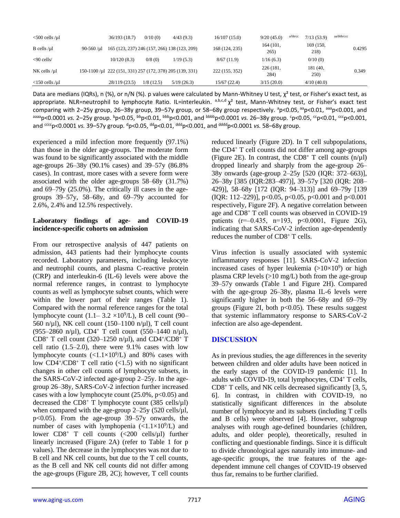| $<$ 500 cells /µl                          |                 | 36/193(18.7)                                              | 0/10(0)   | 4/43(9.3)  | 16/107(15.0)   | 9/20(45.0)        | a/bb/cc | 7/13(53.9)        | aa/bbb/ccc |        |
|--------------------------------------------|-----------------|-----------------------------------------------------------|-----------|------------|----------------|-------------------|---------|-------------------|------------|--------|
| $B$ cells / $\mu$ l                        | $90 - 560 / u1$ | 165 (123, 237) 246 (157, 266) 138 (123, 209)              |           |            | 168 (124, 235) | 164 (101,<br>265) |         | 169 (150,<br>218) |            | 0.4295 |
| $\leq 90$ cells/                           |                 | 10/120(8.3)                                               | 0/8(0)    | 1/19(5.3)  | 8/67(11.9)     | 1/16(6.3)         |         | 0/10(0)           |            |        |
| $NK$ cells / $\mu$ l                       |                 | 150-1100 /µ1 222 (151, 331) 257 (172, 378) 205 (139, 331) |           |            | 222 (155, 352) | 226 (181,<br>284) |         | 181 (40,<br>250)  |            | 0.349  |
| $\langle 150 \text{ cells /}\mu 1 \rangle$ |                 | 28/119 (23.5)                                             | 1/8(12.5) | 5/19(26.3) | 15/67(22.4)    | 3/15(20.0)        |         | 4/10(40.0)        |            |        |

Data are medians (IQRs), n (%), or n/N (%). p values were calculated by Mann-Whitney U test, χ<sup>2</sup> test, or Fisher's exact test, as appropriate. NLR=neutrophil to lymphocyte Ratio. IL=interleukin.  $a,b,c,d \chi^2$  test, Mann-Whitney test, or Fisher's exact test comparing with 2-25y group, 26-38y group, 39-57y group, or 58-68y group respectively. <sup>a</sup>p<0.05, <sup>aa</sup>p<0.01, <sup>aaa</sup>p<0.001, and aaaa<sub>p</sub><0.0001 vs. 2–25y group. <sup>b</sup>p<0.05, <sup>bb</sup>p<0.01, <sup>bbb</sup>p<0.001, and <sup>bbbb</sup>p<0.0001 vs. 26–38y group. <sup>c</sup>p<0.05, <sup>cc</sup>p<0.01, <sup>ccc</sup>p<0.001, and <sup>cccc</sup>p<0.0001 *vs.* 39–57y group. <sup>d</sup>p<0.05, <sup>dd</sup>p<0.01, <sup>ddd</sup>p<0.001, and <sup>dddd</sup>p<0.0001 *vs.* 58–68y group.

experienced a mild infection more frequently (97.1%) than those in the older age-groups. The moderate form was found to be significantly associated with the middle age-groups 26–38y (90.1% cases) and 39–57y (86.8% cases). In contrast, more cases with a severe form were associated with the older age-groups 58–68y (31.7%) and 69–79y (25.0%). The critically ill cases in the agegroups 39–57y, 58–68y, and 69–79y accounted for 2.6%, 2.4% and 12.5% respectively.

#### **Laboratory findings of age- and COVID-19 incidence-specific cohorts on admission**

From our retrospective analysis of 447 patients on admission, 443 patients had their lymphocyte counts recorded. Laboratory parameters, including leukocyte and neutrophil counts, and plasma C-reactive protein (CRP) and interleukin-6 (IL-6) levels were above the normal reference ranges, in contrast to lymphocyte counts as well as lymphocyte subset counts, which were within the lower part of their ranges (Table 1). Compared with the normal reference ranges for the total lymphocyte count  $(1.1 - 3.2 \times 10^9$ /L), B cell count (90– 560 n/ $\mu$ l), NK cell count (150–1100 n/ $\mu$ l), T cell count (955–2860 n/µl), CD4+ T cell count (550–1440 n/µl), CD8<sup>+</sup> T cell count (320–1250 n/µl), and CD4<sup>+</sup>/CD8<sup>+</sup> T cell ratio  $(1.5-2.0)$ , there were  $9.1\%$  cases with low lymphocyte counts  $(\langle 1.1 \times 10^9 \rangle L)$  and 80% cases with low  $CD4^{+}/CD8^{+}$  T cell ratio (<1.5) with no significant changes in other cell counts of lymphocyte subsets, in the SARS-CoV-2 infected age-group 2–25y. In the agegroup 26–38y, SARS-CoV-2 infection further increased cases with a low lymphocyte count  $(25.0\%, p<0.05)$  and decreased the  $CD8^+$  T lymphocyte count (385 cells/ $\mu$ l) when compared with the age-group  $2-25y$  (520 cells/ $\mu$ l, p<0.05). From the age-group 39–57y onwards, the number of cases with lymphopenia  $\left(\frac{1.1 \times 10^9}{L}\right)$  and lower  $CD8^+$  T cell counts  $(\langle 200 \text{ cells/}\mu 1)$  further linearly increased (Figure 2A) (refer to Table 1 for p values). The decrease in the lymphocytes was not due to B cell and NK cell counts, but due to the T cell counts, as the B cell and NK cell counts did not differ among the age-groups (Figure 2B, 2C); however, T cell counts

reduced linearly (Figure 2D). In T cell subpopulations, the CD4<sup>+</sup> T cell counts did not differ among age-groups (Figure 2E). In contrast, the  $CD8^+$  T cell counts (n/µl) dropped linearly and sharply from the age-group 26– 38y onwards (age-group 2–25y [520 (IQR: 372–663)], 26–38y [385 (IQR:283–497)], 39–57y [320 (IQR: 208– 429)], 58–68y [172 (IQR: 94–313)] and 69–79y [139 (IQR: 112–229)], p<0.05, p<0.05, p<0.001 and p<0.001 respectively, Figure 2F). A negative correlation between age and CD8<sup>+</sup> T cell counts was observed in COVID-19 patients ( $r=-0.435$ ,  $n=193$ ,  $p<0.0001$ , Figure 2G), indicating that SARS-CoV-2 infection age-dependently reduces the number of CD8<sup>+</sup> T cells.

Virus infection is usually associated with systemic inflammatory responses [11]. SARS-CoV-2 infection increased cases of hyper leukemia  $(>10×10<sup>9</sup>)$  or high plasma CRP levels  $(>10 \text{ mg/L})$  both from the age-group 39–57y onwards (Table 1 and Figure 2H). Compared with the age-group 26–38y, plasma IL-6 levels were significantly higher in both the 56–68y and 69–79y groups (Figure 2I, both  $p<0.05$ ). These results suggest that systemic inflammatory response to SARS-CoV-2 infection are also age-dependent.

# **DISCUSSION**

As in previous studies, the age differences in the severity between children and older adults have been noticed in the early stages of the COVID-19 pandemic [1]. In adults with COVID-19, total lymphocytes, CD4<sup>+</sup> T cells, CD8<sup>+</sup> T cells, and NK cells decreased significantly [3, 5, 6]. In contrast, in children with COVID-19, no statistically significant differences in the absolute number of lymphocyte and its subsets (including T cells and B cells) were observed [4]. However, subgroup analyses with rough age-defined boundaries (children, adults, and older people), theoretically, resulted in conflicting and questionable findings. Since it is difficult to divide chronological ages naturally into immune- and age-specific groups, the true features of the agedependent immune cell changes of COVID-19 observed thus far, remains to be further clarified.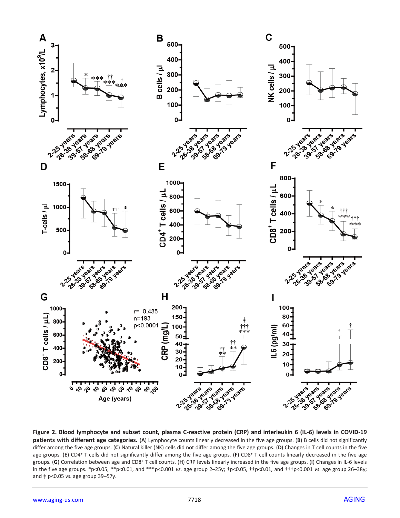

**Figure 2. Blood lymphocyte and subset count, plasma C-reactive protein (CRP) and interleukin 6 (IL-6) levels in COVID-19 patients with different age categories.** (**A**) Lymphocyte counts linearly decreased in the five age groups. (**B**) B cells did not significantly differ among the five age groups. (**C**) Natural killer (NK) cells did not differ among the five age groups. (**D**) Changes in T cell counts in the five age groups. (**E**) CD4<sup>+</sup> T cells did not significantly differ among the five age groups. (**F**) CD8<sup>+</sup> T cell counts linearly decreased in the five age groups. (**G**) Correlation between age and CD8<sup>+</sup> T cell counts. (**H**) CRP levels linearly increased in the five age groups. (**I**) Changes in IL-6 levels in the five age groups. \*p<0.05, \*\*p<0.01, and \*\*\*p<0.001 *vs.* age group 2–25y; †p<0.05, ††p<0.01, and †††p<0.001 *vs*. age group 26–38y; and ǂ p<0.05 *vs*. age group 39–57y.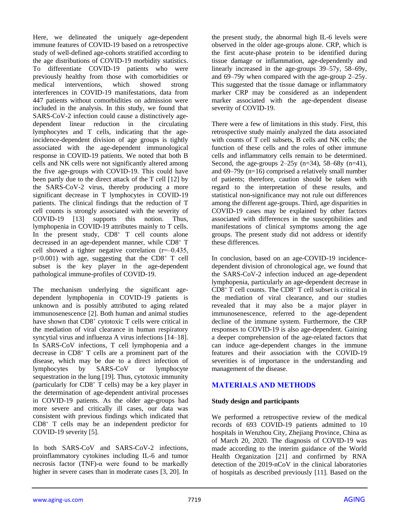Here, we delineated the uniquely age-dependent immune features of COVID-19 based on a retrospective study of well-defined age-cohorts stratified according to the age distributions of COVID-19 morbidity statistics. To differentiate COVID-19 patients who were previously healthy from those with comorbidities or medical interventions, which showed strong interferences in COVID-19 manifestations, data from 447 patients without comorbidities on admission were included in the analysis. In this study, we found that SARS-CoV-2 infection could cause a distinctively agedependent linear reduction in the circulating lymphocytes and T cells, indicating that the ageincidence-dependent division of age groups is tightly associated with the age-dependent immunological response in COVID-19 patients. We noted that both B cells and NK cells were not significantly altered among the five age-groups with COVID-19. This could have been partly due to the direct attack of the T cell [12] by the SARS-CoV-2 virus, thereby producing a more significant decrease in T lymphocytes in COVID-19 patients. The clinical findings that the reduction of T cell counts is strongly associated with the severity of COVID-19 [13] supports this notion. Thus, lymphopenia in COVID-19 attributes mainly to T cells. In the present study, CD8<sup>+</sup> T cell counts alone decreased in an age-dependent manner, while CD8<sup>+</sup> T cell showed a tighter negative correlation  $(r=-0.435,$ p<0.001) with age, suggesting that the CD8<sup>+</sup> T cell subset is the key player in the age-dependent pathological immune-profiles of COVID-19.

The mechanism underlying the significant agedependent lymphopenia in COVID-19 patients is unknown and is possibly attributed to aging related immunosenescence [2]. Both human and animal studies have shown that CD8<sup>+</sup> cytotoxic T cells were critical in the mediation of viral clearance in human respiratory syncytial virus and influenza A virus infections [14–18]. In SARS-CoV infections, T cell lymphopenia and a decrease in CD8<sup>+</sup> T cells are a prominent part of the disease, which may be due to a direct infection of lymphocytes by SARS-CoV or lymphocyte sequestration in the lung [19]. Thus, cytotoxic immunity (particularly for  $CD8<sup>+</sup>$  T cells) may be a key player in the determination of age-dependent antiviral processes in COVID-19 patients. As the older age-groups had more severe and critically ill cases, our data was consistent with previous findings which indicated that CD8<sup>+</sup> T cells may be an independent predictor for COVID-19 severity [5].

In both SARS-CoV and SARS-CoV-2 infections, proinflammatory cytokines including IL-6 and tumor necrosis factor (TNF)-α were found to be markedly higher in severe cases than in moderate cases [3, 20]. In the present study, the abnormal high IL-6 levels were observed in the older age-groups alone. CRP, which is the first acute-phase protein to be identified during tissue damage or inflammation, age-dependently and linearly increased in the age-groups 39–57y, 58–69y, and 69–79y when compared with the age-group 2–25y. This suggested that the tissue damage or inflammatory marker CRP may be considered as an independent marker associated with the age-dependent disease severity of COVID-19.

There were a few of limitations in this study. First, this retrospective study mainly analyzed the data associated with counts of T cell subsets, B cells and NK cells; the function of these cells and the roles of other immune cells and inflammatory cells remain to be determined. Second, the age-groups  $2-25y$  (n=34), 58–68y (n=41), and 69–79y (n=16) comprised a relatively small number of patients; therefore, caution should be taken with regard to the interpretation of these results, and statistical non-significance may not rule out differences among the different age-groups. Third, age disparities in COVID-19 cases may be explained by other factors associated with differences in the susceptibilities and manifestations of clinical symptoms among the age groups. The present study did not address or identify these differences.

In conclusion, based on an age-COVID-19 incidencedependent division of chronological age, we found that the SARS-CoV-2 infection induced an age-dependent lymphopenia, particularly an age-dependent decrease in  $CD8^+$  T cell counts. The  $CD8^+$  T cell subset is critical in the mediation of viral clearance, and our studies revealed that it may also be a major player in immunosenescence, referred to the age-dependent decline of the immune system. Furthermore, the CRP responses to COVID-19 is also age-dependent. Gaining a deeper comprehension of the age-related factors that can induce age-dependent changes in the immune features and their association with the COVID-19 severities is of importance in the understanding and management of the disease.

# **MATERIALS AND METHODS**

# **Study design and participants**

We performed a retrospective review of the medical records of 693 COVID-19 patients admitted to 10 hospitals in Wenzhou City, Zhejiang Province, China as of March 20, 2020. The diagnosis of COVID-19 was made according to the interim guidance of the World Health Organization [21] and confirmed by RNA detection of the 2019-nCoV in the clinical laboratories of hospitals as described previously [11]. Based on the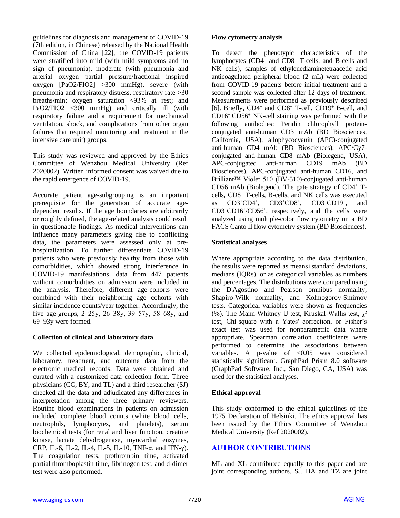guidelines for diagnosis and management of COVID-19 (7th edition, in Chinese) released by the National Health Commission of China [22], the COVID-19 patients were stratified into mild (with mild symptoms and no sign of pneumonia), moderate (with pneumonia and arterial oxygen partial pressure/fractional inspired oxygen [PaO2/FIO2] >300 mmHg), severe (with pneumonia and respiratory distress, respiratory rate >30 breaths/min; oxygen saturation <93% at rest; and PaO2/FIO2 <300 mmHg) and critically ill (with respiratory failure and a requirement for mechanical ventilation, shock, and complications from other organ failures that required monitoring and treatment in the intensive care unit) groups.

This study was reviewed and approved by the Ethics Committee of Wenzhou Medical University (Ref 2020002). Written informed consent was waived due to the rapid emergence of COVID-19.

Accurate patient age-subgrouping is an important prerequisite for the generation of accurate agedependent results. If the age boundaries are arbitrarily or roughly defined, the age-related analysis could result in questionable findings. As medical interventions can influence many parameters giving rise to conflicting data, the parameters were assessed only at prehospitalization. To further differentiate COVID-19 patients who were previously healthy from those with comorbidities, which showed strong interference in COVID-19 manifestations, data from 447 patients without comorbidities on admission were included in the analysis. Therefore, different age-cohorts were combined with their neighboring age cohorts with similar incidence counts/year together. Accordingly, the five age-groups,  $2-25y$ ,  $26-38y$ ,  $39-57y$ ,  $58-68y$ , and 69–93y were formed.

# **Collection of clinical and laboratory data**

We collected epidemiological, demographic, clinical, laboratory, treatment, and outcome data from the electronic medical records. Data were obtained and curated with a customized data collection form. Three physicians (CC, BY, and TL) and a third researcher (SJ) checked all the data and adjudicated any differences in interpretation among the three primary reviewers. Routine blood examinations in patients on admission included complete blood counts (white blood cells, neutrophils, lymphocytes, and platelets), serum biochemical tests (for renal and liver function, creatine kinase, lactate dehydrogenase, myocardial enzymes, CRP, IL-6, IL-2, IL-4, IL-5, IL-10, TNF-α, and IFN-γ). The coagulation tests, prothrombin time, activated partial thromboplastin time, fibrinogen test, and d-dimer test were also performed.

#### **Flow cytometry analysis**

To detect the phenotypic characteristics of the lymphocytes (CD4<sup>+</sup> and CD8<sup>+</sup> T-cells, and B-cells and NK cells), samples of ethylenediaminetetraacetic acid anticoagulated peripheral blood (2 mL) were collected from COVID-19 patients before initial treatment and a second sample was collected after 12 days of treatment. Measurements were performed as previously described [6]. Briefly, CD4<sup>+</sup> and CD8<sup>+</sup> T-cell, CD19<sup>+</sup> B-cell, and  $CD16^+CD56^+$  NK-cell staining was performed with the following antibodies: Peridin chlorophyll proteinconjugated anti-human CD3 mAb (BD Biosciences, California, USA), allophycocyanin (APC)-conjugated anti-human CD4 mAb (BD Biosciences), APC/Cy7 conjugated anti-human CD8 mAb (Biolegend, USA), APC-conjugated anti-human CD19 mAb (BD Biosciences), APC-conjugated anti-human CD16, and Brilliant™ Violet 510 (BV-510)-conjugated anti-human CD56 mAb (Biolegend). The gate strategy of CD4<sup>+</sup> Tcells, CD8<sup>+</sup> T-cells, B-cells, and NK cells was executed as CD3<sup>+</sup>CD4<sup>+</sup> , CD3<sup>+</sup>CD8<sup>+</sup> , CD3<sup>−</sup>CD19<sup>+</sup> , and CD3<sup>−</sup>CD16<sup>+</sup> /CD56<sup>+</sup> , respectively, and the cells were analyzed using multiple-color flow cytometry on a BD FACS Canto II flow cytometry system (BD Biosciences).

#### **Statistical analyses**

Where appropriate according to the data distribution, the results were reported as means±standard deviations, medians (IQRs), or as categorical variables as numbers and percentages. The distributions were compared using the D'Agostino and Pearson omnibus normality, Shapiro-Wilk normality, and Kolmogorov-Smirnov tests. Categorical variables were shown as frequencies (%). The Mann-Whitney U test, Kruskal-Wallis test,  $\gamma^2$ test, Chi-square with a Yates' correction, or Fisher's exact test was used for nonparametric data where appropriate. Spearman correlation coefficients were performed to determine the associations between variables. A p-value of  $< 0.05$  was considered statistically significant. GraphPad Prism 8.0 software (GraphPad Software, Inc., San Diego, CA, USA) was used for the statistical analyses.

# **Ethical approval**

This study conformed to the ethical guidelines of the 1975 Declaration of Helsinki. The ethics approval has been issued by the Ethics Committee of Wenzhou Medical University (Ref 2020002).

# **AUTHOR CONTRIBUTIONS**

ML and XL contributed equally to this paper and are joint corresponding authors. SJ, HA and TZ are joint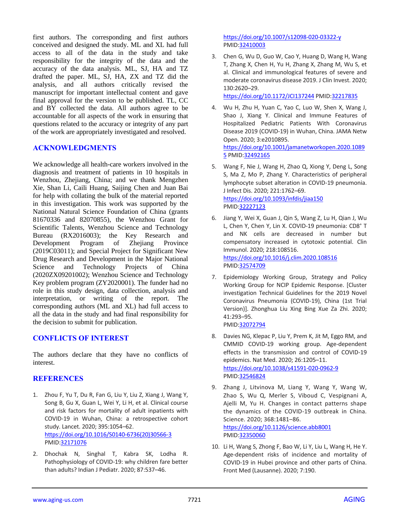first authors. The corresponding and first authors conceived and designed the study. ML and XL had full access to all of the data in the study and take responsibility for the integrity of the data and the accuracy of the data analysis. ML, SJ, HA and TZ drafted the paper. ML, SJ, HA, ZX and TZ did the analysis, and all authors critically revised the manuscript for important intellectual content and gave final approval for the version to be published. TL, CC and BY collected the data. All authors agree to be accountable for all aspects of the work in ensuring that questions related to the accuracy or integrity of any part of the work are appropriately investigated and resolved.

# **ACKNOWLEDGMENTS**

We acknowledge all health-care workers involved in the diagnosis and treatment of patients in 10 hospitals in Wenzhou, Zhejiang, China; and we thank Mengzhen Xie, Shan Li, Caili Huang, Saijing Chen and Juan Bai for help with collating the bulk of the material reported in this investigation. This work was supported by the National Natural Science Foundation of China (grants 81670336 and 82070855), the Wenzhou Grant for Scientific Talents, Wenzhou Science and Technology Bureau (RX2016003); the Key Research and Development Program of Zhejiang Province (2019C03011); and Special Project for Significant New Drug Research and Development in the Major National Science and Technology Projects of China (2020ZX09201002); Wenzhou Science and Technology Key problem program (ZY2020001). The funder had no role in this study design, data collection, analysis and interpretation, or writing of the report. The corresponding authors (ML and XL) had full access to all the data in the study and had final responsibility for the decision to submit for publication.

#### **CONFLICTS OF INTEREST**

The authors declare that they have no conflicts of interest.

#### **REFERENCES**

- 1. Zhou F, Yu T, Du R, Fan G, Liu Y, Liu Z, Xiang J, Wang Y, Song B, Gu X, Guan L, Wei Y, Li H, et al. Clinical course and risk factors for mortality of adult inpatients with COVID-19 in Wuhan, China: a retrospective cohort study. Lancet. 2020; 395:1054–62. [https://doi.org/10.1016/S0140-6736\(20\)30566-3](https://doi.org/10.1016/S0140-6736(20)30566-3) PMID[:32171076](https://pubmed.ncbi.nlm.nih.gov/32171076)
- 2. Dhochak N, Singhal T, Kabra SK, Lodha R. Pathophysiology of COVID-19: why children fare better than adults? Indian J Pediatr. 2020; 87:537–46.

<https://doi.org/10.1007/s12098-020-03322-y> PMI[D:32410003](https://pubmed.ncbi.nlm.nih.gov/32410003)

3. Chen G, Wu D, Guo W, Cao Y, Huang D, Wang H, Wang T, Zhang X, Chen H, Yu H, Zhang X, Zhang M, Wu S, et al. Clinical and immunological features of severe and moderate coronavirus disease 2019. J Clin Invest. 2020; 130:2620–29.

<https://doi.org/10.1172/JCI137244> PMID[:32217835](https://pubmed.ncbi.nlm.nih.gov/32217835)

- 4. Wu H, Zhu H, Yuan C, Yao C, Luo W, Shen X, Wang J, Shao J, Xiang Y. Clinical and Immune Features of Hospitalized Pediatric Patients With Coronavirus Disease 2019 (COVID-19) in Wuhan, China. JAMA Netw Open. 2020; 3:e2010895. [https://doi.org/10.1001/jamanetworkopen.2020.1089](https://doi.org/10.1001/jamanetworkopen.2020.10895) [5](https://doi.org/10.1001/jamanetworkopen.2020.10895) PMI[D:32492165](https://pubmed.ncbi.nlm.nih.gov/32492165/)
- 5. Wang F, Nie J, Wang H, Zhao Q, Xiong Y, Deng L, Song S, Ma Z, Mo P, Zhang Y. Characteristics of peripheral lymphocyte subset alteration in COVID-19 pneumonia. J Infect Dis. 2020; 221:1762–69. <https://doi.org/10.1093/infdis/jiaa150> PMI[D:32227123](https://pubmed.ncbi.nlm.nih.gov/32227123)
- 6. Jiang Y, Wei X, Guan J, Qin S, Wang Z, Lu H, Qian J, Wu L, Chen Y, Chen Y, Lin X. COVID-19 pneumonia: CD8<sup>+</sup> T and NK cells are decreased in number but compensatory increased in cytotoxic potential. Clin Immunol. 2020; 218:108516. <https://doi.org/10.1016/j.clim.2020.108516> PMI[D:32574709](https://pubmed.ncbi.nlm.nih.gov/32574709)
- 7. Epidemiology Working Group, Strategy and Policy Working Group for NCIP Epidemic Response. [Cluster investigation Technical Guidelines for the 2019 Novel Coronavirus Pneumonia (COVID-19), China (1st Trial Version)]. Zhonghua Liu Xing Bing Xue Za Zhi. 2020; 41:293–95. PMI[D:32072794](https://pubmed.ncbi.nlm.nih.gov/32072794/)
- 8. Davies NG, Klepac P, Liu Y, Prem K, Jit M, Eggo RM, and CMMID COVID-19 working group. Age-dependent effects in the transmission and control of COVID-19 epidemics. Nat Med. 2020; 26:1205–11. <https://doi.org/10.1038/s41591-020-0962-9> PMI[D:32546824](https://pubmed.ncbi.nlm.nih.gov/32546824)
- 9. Zhang J, Litvinova M, Liang Y, Wang Y, Wang W, Zhao S, Wu Q, Merler S, Viboud C, Vespignani A, Ajelli M, Yu H. Changes in contact patterns shape the dynamics of the COVID-19 outbreak in China. Science. 2020; 368:1481–86. <https://doi.org/10.1126/science.abb8001> PMI[D:32350060](https://pubmed.ncbi.nlm.nih.gov/32350060)
- 10. Li H, Wang S, Zhong F, Bao W, Li Y, Liu L, Wang H, He Y. Age-dependent risks of incidence and mortality of COVID-19 in Hubei province and other parts of China. Front Med (Lausanne). 2020; 7:190.